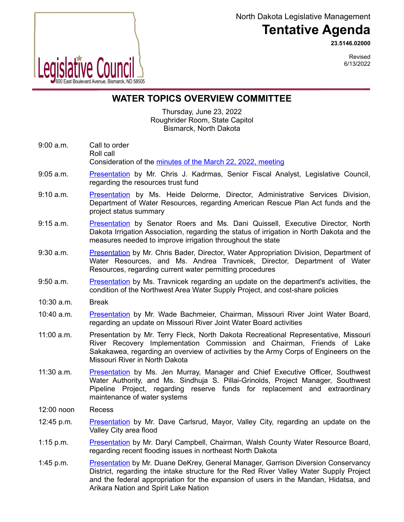North Dakota Legislative Management

## **Tentative Agenda**

**23.5146.02000**



Revised 6/13/2022

## **WATER TOPICS OVERVIEW COMMITTEE**

Thursday, June 23, 2022 Roughrider Room, State Capitol Bismarck, North Dakota

- 9:00 a.m. Call to order Roll call Consideration of the [minutes of the March 22, 2022, meeting](https://ndlegis.gov/assembly/67-2021/interim/23-5111-03000-meeting-minutes.pdf)
- 9:05 a.m. [Presentation](https://ndlegis.gov/files/resource/committee-memorandum/23.9100.04000.pdf) by Mr. Chris J. Kadrmas, Senior Fiscal Analyst, Legislative Council, regarding the resources trust fund
- 9:10 a.m. [Presentation](https://www.ndlegis.gov/files/committees/67-2021/23_5146_02000presentation910.pdf) by Ms. Heide Delorme, Director, Administrative Services Division, Department of Water Resources, regarding American Rescue Plan Act funds and the project status summary
- 9:15 a.m. [Presentation](https://www.ndlegis.gov/files/committees/67-2021/23_5146_02000presentation915.pdf) by Senator Roers and Ms. Dani Quissell, Executive Director, North Dakota Irrigation Association, regarding the status of irrigation in North Dakota and the measures needed to improve irrigation throughout the state
- 9:30 a.m. [Presentation](https://www.ndlegis.gov/files/committees/67-2021/23_5146_02000presentation930.pdf) by Mr. Chris Bader, Director, Water Appropriation Division, Department of Water Resources, and Ms. Andrea Travnicek, Director, Department of Water Resources, regarding current water permitting procedures
- 9:50 a.m. [Presentation](https://www.ndlegis.gov/files/committees/67-2021/23_5146_02000presentation950.pdf) by Ms. Travnicek regarding an update on the department's activities, the condition of the Northwest Area Water Supply Project, and cost-share policies
- 10:30 a.m. Break
- 10:40 a.m. [Presentation](https://www.ndlegis.gov/files/committees/67-2021/23_5146_02000presentation1040.pdf) by Mr. Wade Bachmeier, Chairman, Missouri River Joint Water Board, regarding an update on Missouri River Joint Water Board activities
- 11:00 a.m. Presentation by Mr. Terry Fleck, North Dakota Recreational Representative, Missouri River Recovery Implementation Commission and Chairman, Friends of Lake Sakakawea, regarding an overview of activities by the Army Corps of Engineers on the Missouri River in North Dakota
- 11:30 a.m. [Presentation](https://www.ndlegis.gov/files/committees/67-2021/23_5146_02000presentation1130.pdf) by Ms. Jen Murray, Manager and Chief Executive Officer, Southwest Water Authority, and Ms. Sindhuja S. Pillai-Grinolds, Project Manager, Southwest Pipeline Project, regarding reserve funds for replacement and extraordinary maintenance of water systems
- 12:00 noon Recess
- 12:45 p.m. [Presentation](https://www.ndlegis.gov/files/committees/67-2021/23_5146_02000presentation1245.pdf) by Mr. Dave Carlsrud, Mayor, Valley City, regarding an update on the Valley City area flood
- 1:15 p.m. [Presentation](https://www.ndlegis.gov/files/committees/67-2021/23_5146_02000presentation1315.pdf) by Mr. Daryl Campbell, Chairman, Walsh County Water Resource Board, regarding recent flooding issues in northeast North Dakota
- 1:45 p.m. [Presentation](https://ndlegis.gov/files/committees/67-2021/23_5146_02000presentation1345.pdf) by Mr. Duane DeKrey, General Manager, Garrison Diversion Conservancy District, regarding the intake structure for the Red River Valley Water Supply Project and the federal appropriation for the expansion of users in the Mandan, Hidatsa, and Arikara Nation and Spirit Lake Nation